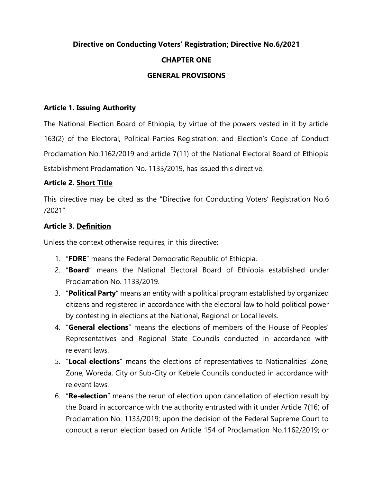# **Directive on Conducting Voters' Registration; Directive No.6/2021 CHAPTER ONE GENERAL PROVISIONS**

#### **Article 1. Issuing Authority**

The National Election Board of Ethiopia, by virtue of the powers vested in it by article 163(2) of the Electoral, Political Parties Registration, and Election's Code of Conduct Proclamation No.1162/2019 and article 7(11) of the National Electoral Board of Ethiopia Establishment Proclamation No. 1133/2019, has issued this directive.

#### **Article 2. Short Title**

This directive may be cited as the "Directive for Conducting Voters' Registration No.6 /2021"

#### **Article 3. Definition**

Unless the context otherwise requires, in this directive:

- 1. "**FDRE**" means the Federal Democratic Republic of Ethiopia.
- 2. "**Board**" means the National Electoral Board of Ethiopia established under Proclamation No. 1133/2019.
- 3. "**Political Party**" means an entity with a political program established by organized citizens and registered in accordance with the electoral law to hold political power by contesting in elections at the National, Regional or Local levels.
- 4. "**General elections**" means the elections of members of the House of Peoples' Representatives and Regional State Councils conducted in accordance with relevant laws.
- 5. "**Local elections**" means the elections of representatives to Nationalities' Zone, Zone, Woreda, City or Sub-City or Kebele Councils conducted in accordance with relevant laws.
- 6. "**Re-election**" means the rerun of election upon cancellation of election result by the Board in accordance with the authority entrusted with it under Article 7(16) of Proclamation No. 1133/2019; upon the decision of the Federal Supreme Court to conduct a rerun election based on Article 154 of Proclamation No.1162/2019; or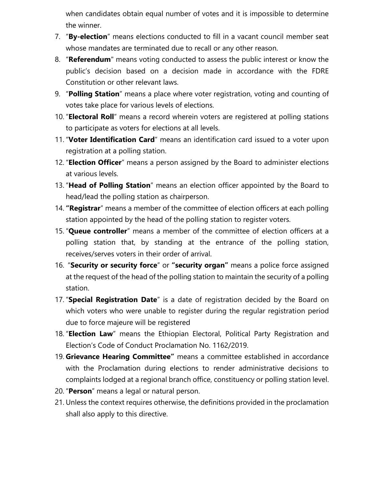when candidates obtain equal number of votes and it is impossible to determine the winner.

- 7. "**By-election**" means elections conducted to fill in a vacant council member seat whose mandates are terminated due to recall or any other reason.
- 8. "**Referendum**" means voting conducted to assess the public interest or know the public's decision based on a decision made in accordance with the FDRE Constitution or other relevant laws.
- 9. "**Polling Station**" means a place where voter registration, voting and counting of votes take place for various levels of elections.
- 10. "**Electoral Roll**" means a record wherein voters are registered at polling stations to participate as voters for elections at all levels.
- 11. "**Voter Identification Card**" means an identification card issued to a voter upon registration at a polling station.
- 12. "**Election Officer**" means a person assigned by the Board to administer elections at various levels.
- 13. "**Head of Polling Station**" means an election officer appointed by the Board to head/lead the polling station as chairperson.
- 14. **"Registrar**" means a member of the committee of election officers at each polling station appointed by the head of the polling station to register voters.
- 15. "**Queue controller**" means a member of the committee of election officers at a polling station that, by standing at the entrance of the polling station, receives/serves voters in their order of arrival.
- 16. "**Security or security force**" or **"security organ"** means a police force assigned at the request of the head of the polling station to maintain the security of a polling station.
- 17. "**Special Registration Date**" is a date of registration decided by the Board on which voters who were unable to register during the regular registration period due to force majeure will be registered
- 18. "**Election Law**" means the Ethiopian Electoral, Political Party Registration and Election's Code of Conduct Proclamation No. 1162/2019.
- 19. **Grievance Hearing Committee"** means a committee established in accordance with the Proclamation during elections to render administrative decisions to complaints lodged at a regional branch office, constituency or polling station level.
- 20. "**Person**" means a legal or natural person.
- 21. Unless the context requires otherwise, the definitions provided in the proclamation shall also apply to this directive.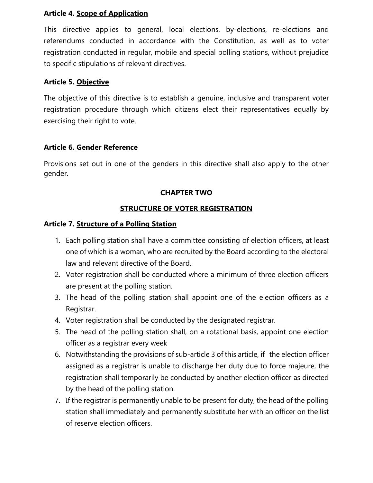#### **Article 4. Scope of Application**

This directive applies to general, local elections, by-elections, re-elections and referendums conducted in accordance with the Constitution, as well as to voter registration conducted in regular, mobile and special polling stations, without prejudice to specific stipulations of relevant directives.

#### **Article 5. Objective**

The objective of this directive is to establish a genuine, inclusive and transparent voter registration procedure through which citizens elect their representatives equally by exercising their right to vote.

## **Article 6. Gender Reference**

Provisions set out in one of the genders in this directive shall also apply to the other gender.

# **CHAPTER TWO**

# **STRUCTURE OF VOTER REGISTRATION**

#### **Article 7. Structure of a Polling Station**

- 1. Each polling station shall have a committee consisting of election officers, at least one of which is a woman, who are recruited by the Board according to the electoral law and relevant directive of the Board.
- 2. Voter registration shall be conducted where a minimum of three election officers are present at the polling station.
- 3. The head of the polling station shall appoint one of the election officers as a Registrar.
- 4. Voter registration shall be conducted by the designated registrar.
- 5. The head of the polling station shall, on a rotational basis, appoint one election officer as a registrar every week
- 6. Notwithstanding the provisions of sub-article 3 of this article, if the election officer assigned as a registrar is unable to discharge her duty due to force majeure, the registration shall temporarily be conducted by another election officer as directed by the head of the polling station.
- 7. If the registrar is permanently unable to be present for duty, the head of the polling station shall immediately and permanently substitute her with an officer on the list of reserve election officers.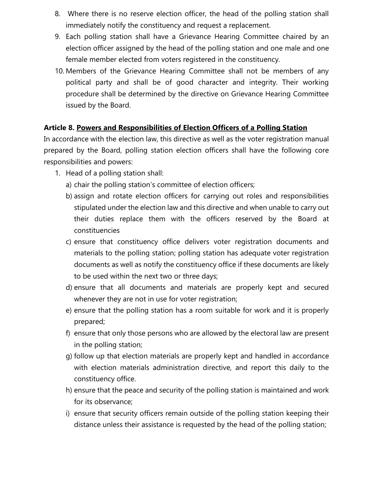- 8. Where there is no reserve election officer, the head of the polling station shall immediately notify the constituency and request a replacement.
- 9. Each polling station shall have a Grievance Hearing Committee chaired by an election officer assigned by the head of the polling station and one male and one female member elected from voters registered in the constituency.
- 10. Members of the Grievance Hearing Committee shall not be members of any political party and shall be of good character and integrity. Their working procedure shall be determined by the directive on Grievance Hearing Committee issued by the Board.

## **Article 8. Powers and Responsibilities of Election Officers of a Polling Station**

In accordance with the election law, this directive as well as the voter registration manual prepared by the Board, polling station election officers shall have the following core responsibilities and powers:

- 1. Head of a polling station shall:
	- a) chair the polling station's committee of election officers;
	- b) assign and rotate election officers for carrying out roles and responsibilities stipulated under the election law and this directive and when unable to carry out their duties replace them with the officers reserved by the Board at constituencies
	- c) ensure that constituency office delivers voter registration documents and materials to the polling station; polling station has adequate voter registration documents as well as notify the constituency office if these documents are likely to be used within the next two or three days;
	- d) ensure that all documents and materials are properly kept and secured whenever they are not in use for voter registration;
	- e) ensure that the polling station has a room suitable for work and it is properly prepared;
	- f) ensure that only those persons who are allowed by the electoral law are present in the polling station;
	- g) follow up that election materials are properly kept and handled in accordance with election materials administration directive, and report this daily to the constituency office.
	- h) ensure that the peace and security of the polling station is maintained and work for its observance;
	- i) ensure that security officers remain outside of the polling station keeping their distance unless their assistance is requested by the head of the polling station;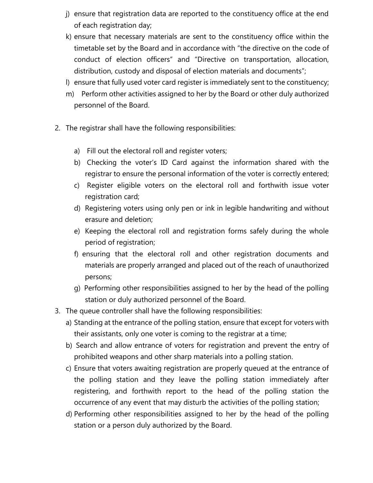- j) ensure that registration data are reported to the constituency office at the end of each registration day;
- k) ensure that necessary materials are sent to the constituency office within the timetable set by the Board and in accordance with "the directive on the code of conduct of election officers" and "Directive on transportation, allocation, distribution, custody and disposal of election materials and documents";
- l) ensure that fully used voter card register is immediately sent to the constituency;
- m) Perform other activities assigned to her by the Board or other duly authorized personnel of the Board.
- 2. The registrar shall have the following responsibilities:
	- a) Fill out the electoral roll and register voters;
	- b) Checking the voter's ID Card against the information shared with the registrar to ensure the personal information of the voter is correctly entered;
	- c) Register eligible voters on the electoral roll and forthwith issue voter registration card;
	- d) Registering voters using only pen or ink in legible handwriting and without erasure and deletion;
	- e) Keeping the electoral roll and registration forms safely during the whole period of registration;
	- f) ensuring that the electoral roll and other registration documents and materials are properly arranged and placed out of the reach of unauthorized persons;
	- g) Performing other responsibilities assigned to her by the head of the polling station or duly authorized personnel of the Board.
- 3. The queue controller shall have the following responsibilities:
	- a) Standing at the entrance of the polling station, ensure that except for voters with their assistants, only one voter is coming to the registrar at a time;
	- b) Search and allow entrance of voters for registration and prevent the entry of prohibited weapons and other sharp materials into a polling station.
	- c) Ensure that voters awaiting registration are properly queued at the entrance of the polling station and they leave the polling station immediately after registering, and forthwith report to the head of the polling station the occurrence of any event that may disturb the activities of the polling station;
	- d) Performing other responsibilities assigned to her by the head of the polling station or a person duly authorized by the Board.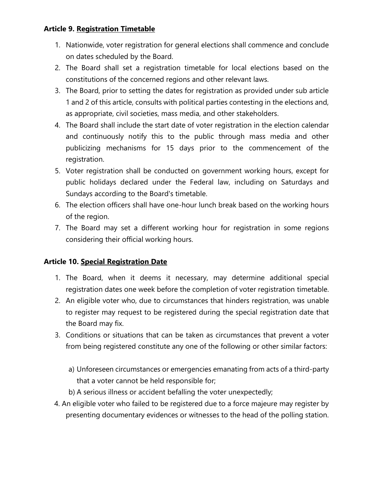## **Article 9. Registration Timetable**

- 1. Nationwide, voter registration for general elections shall commence and conclude on dates scheduled by the Board.
- 2. The Board shall set a registration timetable for local elections based on the constitutions of the concerned regions and other relevant laws.
- 3. The Board, prior to setting the dates for registration as provided under sub article 1 and 2 of this article, consults with political parties contesting in the elections and, as appropriate, civil societies, mass media, and other stakeholders.
- 4. The Board shall include the start date of voter registration in the election calendar and continuously notify this to the public through mass media and other publicizing mechanisms for 15 days prior to the commencement of the registration.
- 5. Voter registration shall be conducted on government working hours, except for public holidays declared under the Federal law, including on Saturdays and Sundays according to the Board's timetable.
- 6. The election officers shall have one-hour lunch break based on the working hours of the region.
- 7. The Board may set a different working hour for registration in some regions considering their official working hours.

# **Article 10. Special Registration Date**

- 1. The Board, when it deems it necessary, may determine additional special registration dates one week before the completion of voter registration timetable.
- 2. An eligible voter who, due to circumstances that hinders registration, was unable to register may request to be registered during the special registration date that the Board may fix.
- 3. Conditions or situations that can be taken as circumstances that prevent a voter from being registered constitute any one of the following or other similar factors:
	- a) Unforeseen circumstances or emergencies emanating from acts of a third-party that a voter cannot be held responsible for;
	- b) A serious illness or accident befalling the voter unexpectedly;
- 4. An eligible voter who failed to be registered due to a force majeure may register by presenting documentary evidences or witnesses to the head of the polling station.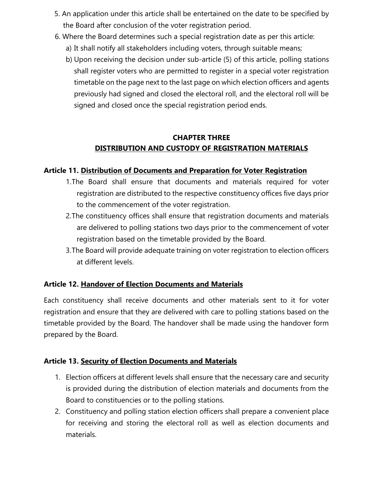- 5. An application under this article shall be entertained on the date to be specified by the Board after conclusion of the voter registration period.
- 6. Where the Board determines such a special registration date as per this article:
	- a) It shall notify all stakeholders including voters, through suitable means;
	- b) Upon receiving the decision under sub-article (5) of this article, polling stations shall register voters who are permitted to register in a special voter registration timetable on the page next to the last page on which election officers and agents previously had signed and closed the electoral roll, and the electoral roll will be signed and closed once the special registration period ends.

# **CHAPTER THREE DISTRIBUTION AND CUSTODY OF REGISTRATION MATERIALS**

# **Article 11. Distribution of Documents and Preparation for Voter Registration**

- 1.The Board shall ensure that documents and materials required for voter registration are distributed to the respective constituency offices five days prior to the commencement of the voter registration.
- 2.The constituency offices shall ensure that registration documents and materials are delivered to polling stations two days prior to the commencement of voter registration based on the timetable provided by the Board.
- 3.The Board will provide adequate training on voter registration to election officers at different levels.

# **Article 12. Handover of Election Documents and Materials**

Each constituency shall receive documents and other materials sent to it for voter registration and ensure that they are delivered with care to polling stations based on the timetable provided by the Board. The handover shall be made using the handover form prepared by the Board.

# **Article 13. Security of Election Documents and Materials**

- 1. Election officers at different levels shall ensure that the necessary care and security is provided during the distribution of election materials and documents from the Board to constituencies or to the polling stations.
- 2. Constituency and polling station election officers shall prepare a convenient place for receiving and storing the electoral roll as well as election documents and materials.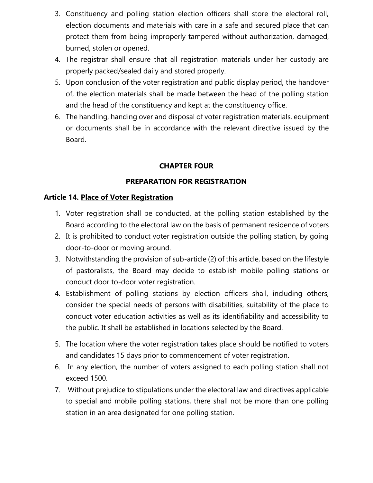- 3. Constituency and polling station election officers shall store the electoral roll, election documents and materials with care in a safe and secured place that can protect them from being improperly tampered without authorization, damaged, burned, stolen or opened.
- 4. The registrar shall ensure that all registration materials under her custody are properly packed/sealed daily and stored properly.
- 5. Upon conclusion of the voter registration and public display period, the handover of, the election materials shall be made between the head of the polling station and the head of the constituency and kept at the constituency office.
- 6. The handling, handing over and disposal of voter registration materials, equipment or documents shall be in accordance with the relevant directive issued by the Board.

#### **CHAPTER FOUR**

#### **PREPARATION FOR REGISTRATION**

#### **Article 14. Place of Voter Registration**

- 1. Voter registration shall be conducted, at the polling station established by the Board according to the electoral law on the basis of permanent residence of voters
- 2. It is prohibited to conduct voter registration outside the polling station, by going door-to-door or moving around.
- 3. Notwithstanding the provision of sub-article (2) of this article, based on the lifestyle of pastoralists, the Board may decide to establish mobile polling stations or conduct door to-door voter registration.
- 4. Establishment of polling stations by election officers shall, including others, consider the special needs of persons with disabilities, suitability of the place to conduct voter education activities as well as its identifiability and accessibility to the public. It shall be established in locations selected by the Board.
- 5. The location where the voter registration takes place should be notified to voters and candidates 15 days prior to commencement of voter registration.
- 6. In any election, the number of voters assigned to each polling station shall not exceed 1500.
- 7. Without prejudice to stipulations under the electoral law and directives applicable to special and mobile polling stations, there shall not be more than one polling station in an area designated for one polling station.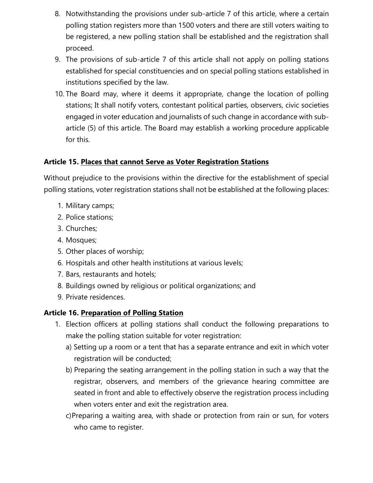- 8. Notwithstanding the provisions under sub-article 7 of this article, where a certain polling station registers more than 1500 voters and there are still voters waiting to be registered, a new polling station shall be established and the registration shall proceed.
- 9. The provisions of sub-article 7 of this article shall not apply on polling stations established for special constituencies and on special polling stations established in institutions specified by the law.
- 10. The Board may, where it deems it appropriate, change the location of polling stations; It shall notify voters, contestant political parties, observers, civic societies engaged in voter education and journalists of such change in accordance with subarticle (5) of this article. The Board may establish a working procedure applicable for this.

# **Article 15. Places that cannot Serve as Voter Registration Stations**

Without prejudice to the provisions within the directive for the establishment of special polling stations, voter registration stations shall not be established at the following places:

- 1. Military camps;
- 2. Police stations;
- 3. Churches;
- 4. Mosques;
- 5. Other places of worship;
- 6. Hospitals and other health institutions at various levels;
- 7. Bars, restaurants and hotels;
- 8. Buildings owned by religious or political organizations; and
- 9. Private residences.

# **Article 16. Preparation of Polling Station**

- 1. Election officers at polling stations shall conduct the following preparations to make the polling station suitable for voter registration:
	- a) Setting up a room or a tent that has a separate entrance and exit in which voter registration will be conducted;
	- b) Preparing the seating arrangement in the polling station in such a way that the registrar, observers, and members of the grievance hearing committee are seated in front and able to effectively observe the registration process including when voters enter and exit the registration area.
	- c)Preparing a waiting area, with shade or protection from rain or sun, for voters who came to register.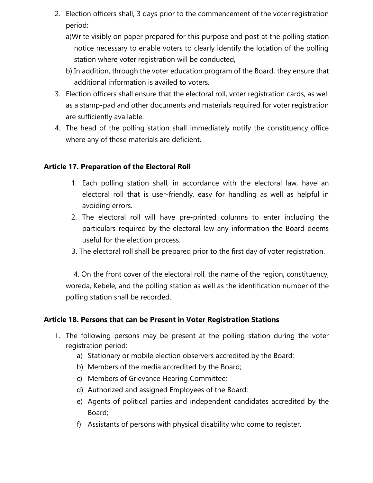- 2. Election officers shall, 3 days prior to the commencement of the voter registration period:
	- a)Write visibly on paper prepared for this purpose and post at the polling station notice necessary to enable voters to clearly identify the location of the polling station where voter registration will be conducted,
	- b) In addition, through the voter education program of the Board, they ensure that additional information is availed to voters.
- 3. Election officers shall ensure that the electoral roll, voter registration cards, as well as a stamp-pad and other documents and materials required for voter registration are sufficiently available.
- 4. The head of the polling station shall immediately notify the constituency office where any of these materials are deficient.

## **Article 17. Preparation of the Electoral Roll**

- 1. Each polling station shall, in accordance with the electoral law, have an electoral roll that is user-friendly, easy for handling as well as helpful in avoiding errors.
- 2. The electoral roll will have pre-printed columns to enter including the particulars required by the electoral law any information the Board deems useful for the election process.
- 3. The electoral roll shall be prepared prior to the first day of voter registration.

 4. On the front cover of the electoral roll, the name of the region, constituency, woreda, Kebele, and the polling station as well as the identification number of the polling station shall be recorded.

# **Article 18. Persons that can be Present in Voter Registration Stations**

- 1. The following persons may be present at the polling station during the voter registration period:
	- a) Stationary or mobile election observers accredited by the Board;
	- b) Members of the media accredited by the Board;
	- c) Members of Grievance Hearing Committee;
	- d) Authorized and assigned Employees of the Board;
	- e) Agents of political parties and independent candidates accredited by the Board;
	- f) Assistants of persons with physical disability who come to register.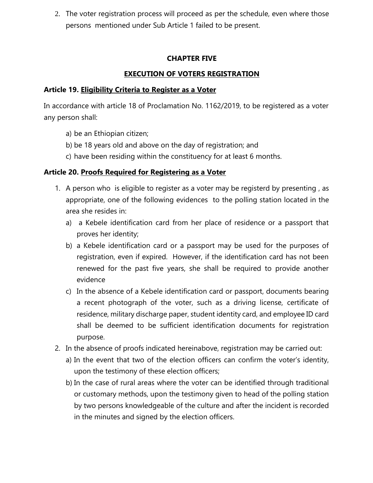2. The voter registration process will proceed as per the schedule, even where those persons mentioned under Sub Article 1 failed to be present.

## **CHAPTER FIVE**

# **EXECUTION OF VOTERS REGISTRATION**

#### **Article 19. Eligibility Criteria to Register as a Voter**

In accordance with article 18 of Proclamation No. 1162/2019, to be registered as a voter any person shall:

- a) be an Ethiopian citizen;
- b) be 18 years old and above on the day of registration; and
- c) have been residing within the constituency for at least 6 months.

## **Article 20. Proofs Required for Registering as a Voter**

- 1. A person who is eligible to register as a voter may be registerd by presenting , as appropriate, one of the following evidences to the polling station located in the area she resides in:
	- a) a Kebele identification card from her place of residence or a passport that proves her identity;
	- b) a Kebele identification card or a passport may be used for the purposes of registration, even if expired. However, if the identification card has not been renewed for the past five years, she shall be required to provide another evidence
	- c) In the absence of a Kebele identification card or passport, documents bearing a recent photograph of the voter, such as a driving license, certificate of residence, military discharge paper, student identity card, and employee ID card shall be deemed to be sufficient identification documents for registration purpose.
- 2. In the absence of proofs indicated hereinabove, registration may be carried out:
	- a) In the event that two of the election officers can confirm the voter's identity, upon the testimony of these election officers;
	- b) In the case of rural areas where the voter can be identified through traditional or customary methods, upon the testimony given to head of the polling station by two persons knowledgeable of the culture and after the incident is recorded in the minutes and signed by the election officers.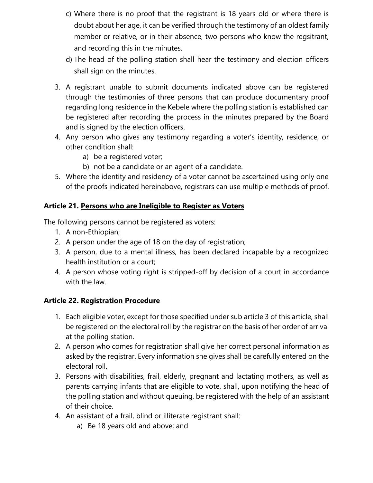- c) Where there is no proof that the registrant is 18 years old or where there is doubt about her age, it can be verified through the testimony of an oldest family member or relative, or in their absence, two persons who know the regsitrant, and recording this in the minutes.
- d) The head of the polling station shall hear the testimony and election officers shall sign on the minutes.
- 3. A registrant unable to submit documents indicated above can be registered through the testimonies of three persons that can produce documentary proof regarding long residence in the Kebele where the polling station is established can be registered after recording the process in the minutes prepared by the Board and is signed by the election officers.
- 4. Any person who gives any testimony regarding a voter's identity, residence, or other condition shall:
	- a) be a registered voter;
	- b) not be a candidate or an agent of a candidate.
- 5. Where the identity and residency of a voter cannot be ascertained using only one of the proofs indicated hereinabove, registrars can use multiple methods of proof.

# **Article 21. Persons who are Ineligible to Register as Voters**

The following persons cannot be registered as voters:

- 1. A non-Ethiopian;
- 2. A person under the age of 18 on the day of registration;
- 3. A person, due to a mental illness, has been declared incapable by a recognized health institution or a court;
- 4. A person whose voting right is stripped-off by decision of a court in accordance with the law.

# **Article 22. Registration Procedure**

- 1. Each eligible voter, except for those specified under sub article 3 of this article, shall be registered on the electoral roll by the registrar on the basis of her order of arrival at the polling station.
- 2. A person who comes for registration shall give her correct personal information as asked by the registrar. Every information she gives shall be carefully entered on the electoral roll.
- 3. Persons with disabilities, frail, elderly, pregnant and lactating mothers, as well as parents carrying infants that are eligible to vote, shall, upon notifying the head of the polling station and without queuing, be registered with the help of an assistant of their choice.
- 4. An assistant of a frail, blind or illiterate registrant shall:
	- a) Be 18 years old and above; and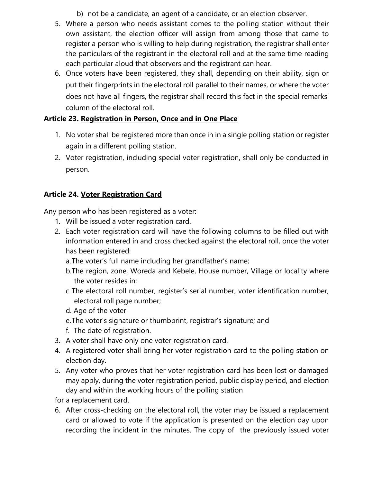- b) not be a candidate, an agent of a candidate, or an election observer.
- 5. Where a person who needs assistant comes to the polling station without their own assistant, the election officer will assign from among those that came to register a person who is willing to help during registration, the registrar shall enter the particulars of the registrant in the electoral roll and at the same time reading each particular aloud that observers and the registrant can hear.
- 6. Once voters have been registered, they shall, depending on their ability, sign or put their fingerprints in the electoral roll parallel to their names, or where the voter does not have all fingers, the registrar shall record this fact in the special remarks' column of the electoral roll.

# **Article 23. Registration in Person, Once and in One Place**

- 1. No voter shall be registered more than once in in a single polling station or register again in a different polling station.
- 2. Voter registration, including special voter registration, shall only be conducted in person.

# **Article 24. Voter Registration Card**

Any person who has been registered as a voter:

- 1. Will be issued a voter registration card.
- 2. Each voter registration card will have the following columns to be filled out with information entered in and cross checked against the electoral roll, once the voter has been registered:
	- a.The voter's full name including her grandfather's name;
	- b.The region, zone, Woreda and Kebele, House number, Village or locality where the voter resides in;
	- c. The electoral roll number, register's serial number, voter identification number, electoral roll page number;
	- d. Age of the voter
	- e.The voter's signature or thumbprint, registrar's signature; and
	- f. The date of registration.
- 3. A voter shall have only one voter registration card.
- 4. A registered voter shall bring her voter registration card to the polling station on election day.
- 5. Any voter who proves that her voter registration card has been lost or damaged may apply, during the voter registration period, public display period, and election day and within the working hours of the polling station

for a replacement card.

6. After cross-checking on the electoral roll, the voter may be issued a replacement card or allowed to vote if the application is presented on the election day upon recording the incident in the minutes. The copy of the previously issued voter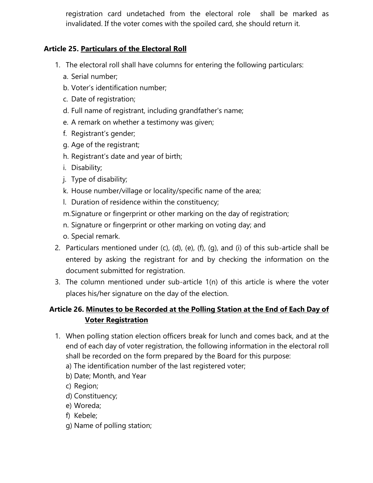registration card undetached from the electoral role shall be marked as invalidated. If the voter comes with the spoiled card, she should return it.

# **Article 25. Particulars of the Electoral Roll**

- 1. The electoral roll shall have columns for entering the following particulars:
	- a. Serial number;
	- b. Voter's identification number;
	- c. Date of registration;
	- d. Full name of registrant, including grandfather's name;
	- e. A remark on whether a testimony was given;
	- f. Registrant's gender;
	- g. Age of the registrant;
	- h. Registrant's date and year of birth;
	- i. Disability;
	- j. Type of disability;
	- k. House number/village or locality/specific name of the area;
	- l. Duration of residence within the constituency;
	- m.Signature or fingerprint or other marking on the day of registration;
	- n. Signature or fingerprint or other marking on voting day; and
	- o. Special remark.
- 2. Particulars mentioned under  $(c)$ ,  $(d)$ ,  $(e)$ ,  $(f)$ ,  $(g)$ , and  $(i)$  of this sub-article shall be entered by asking the registrant for and by checking the information on the document submitted for registration.
- 3. The column mentioned under sub-article 1(n) of this article is where the voter places his/her signature on the day of the election.

# **Article 26. Minutes to be Recorded at the Polling Station at the End of Each Day of Voter Registration**

- 1. When polling station election officers break for lunch and comes back, and at the end of each day of voter registration, the following information in the electoral roll shall be recorded on the form prepared by the Board for this purpose:
	- a) The identification number of the last registered voter;
	- b) Date; Month, and Year
	- c) Region;
	- d) Constituency;
	- e) Woreda;
	- f) Kebele;
	- g) Name of polling station;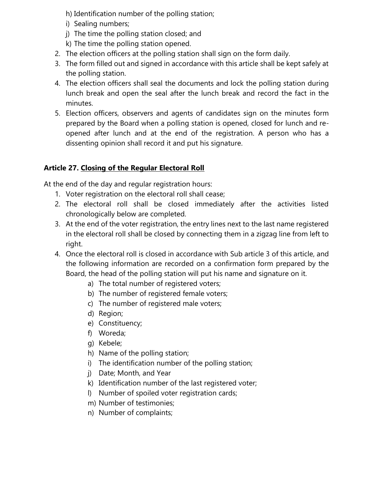h) Identification number of the polling station;

- i) Sealing numbers;
- j) The time the polling station closed; and
- k) The time the polling station opened.
- 2. The election officers at the polling station shall sign on the form daily.
- 3. The form filled out and signed in accordance with this article shall be kept safely at the polling station.
- 4. The election officers shall seal the documents and lock the polling station during lunch break and open the seal after the lunch break and record the fact in the minutes.
- 5. Election officers, observers and agents of candidates sign on the minutes form prepared by the Board when a polling station is opened, closed for lunch and reopened after lunch and at the end of the registration. A person who has a dissenting opinion shall record it and put his signature.

# **Article 27. Closing of the Regular Electoral Roll**

At the end of the day and regular registration hours:

- 1. Voter registration on the electoral roll shall cease;
- 2. The electoral roll shall be closed immediately after the activities listed chronologically below are completed.
- 3. At the end of the voter registration, the entry lines next to the last name registered in the electoral roll shall be closed by connecting them in a zigzag line from left to right.
- 4. Once the electoral roll is closed in accordance with Sub article 3 of this article, and the following information are recorded on a confirmation form prepared by the Board, the head of the polling station will put his name and signature on it.
	- a) The total number of registered voters;
	- b) The number of registered female voters;
	- c) The number of registered male voters;
	- d) Region;
	- e) Constituency;
	- f) Woreda;
	- g) Kebele;
	- h) Name of the polling station;
	- i) The identification number of the polling station;
	- j) Date; Month, and Year
	- k) Identification number of the last registered voter;
	- l) Number of spoiled voter registration cards;
	- m) Number of testimonies;
	- n) Number of complaints;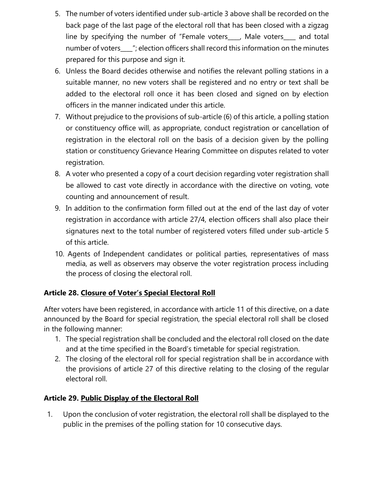- 5. The number of voters identified under sub-article 3 above shall be recorded on the back page of the last page of the electoral roll that has been closed with a zigzag line by specifying the number of "Female voters\_\_\_\_, Male voters\_\_\_\_ and total number of voters\_\_\_\_"; election officers shall record this information on the minutes prepared for this purpose and sign it.
- 6. Unless the Board decides otherwise and notifies the relevant polling stations in a suitable manner, no new voters shall be registered and no entry or text shall be added to the electoral roll once it has been closed and signed on by election officers in the manner indicated under this article.
- 7. Without prejudice to the provisions of sub-article (6) of this article, a polling station or constituency office will, as appropriate, conduct registration or cancellation of registration in the electoral roll on the basis of a decision given by the polling station or constituency Grievance Hearing Committee on disputes related to voter registration.
- 8. A voter who presented a copy of a court decision regarding voter registration shall be allowed to cast vote directly in accordance with the directive on voting, vote counting and announcement of result.
- 9. In addition to the confirmation form filled out at the end of the last day of voter registration in accordance with article 27/4, election officers shall also place their signatures next to the total number of registered voters filled under sub-article 5 of this article.
- 10. Agents of Independent candidates or political parties, representatives of mass media, as well as observers may observe the voter registration process including the process of closing the electoral roll.

# **Article 28. Closure of Voter's Special Electoral Roll**

After voters have been registered, in accordance with article 11 of this directive, on a date announced by the Board for special registration, the special electoral roll shall be closed in the following manner:

- 1. The special registration shall be concluded and the electoral roll closed on the date and at the time specified in the Board's timetable for special registration.
- 2. The closing of the electoral roll for special registration shall be in accordance with the provisions of article 27 of this directive relating to the closing of the regular electoral roll.

# **Article 29. Public Display of the Electoral Roll**

1. Upon the conclusion of voter registration, the electoral roll shall be displayed to the public in the premises of the polling station for 10 consecutive days.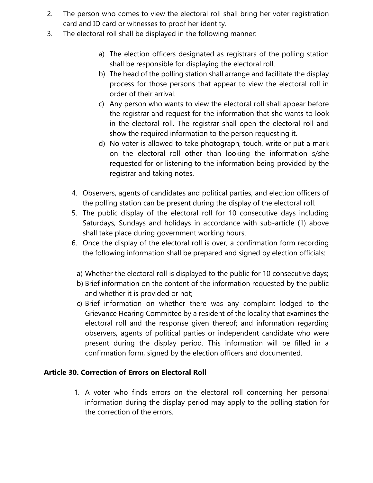- 2. The person who comes to view the electoral roll shall bring her voter registration card and ID card or witnesses to proof her identity.
- 3. The electoral roll shall be displayed in the following manner:
	- a) The election officers designated as registrars of the polling station shall be responsible for displaying the electoral roll.
	- b) The head of the polling station shall arrange and facilitate the display process for those persons that appear to view the electoral roll in order of their arrival.
	- c) Any person who wants to view the electoral roll shall appear before the registrar and request for the information that she wants to look in the electoral roll. The registrar shall open the electoral roll and show the required information to the person requesting it.
	- d) No voter is allowed to take photograph, touch, write or put a mark on the electoral roll other than looking the information s/she requested for or listening to the information being provided by the registrar and taking notes.
	- 4. Observers, agents of candidates and political parties, and election officers of the polling station can be present during the display of the electoral roll.
	- 5. The public display of the electoral roll for 10 consecutive days including Saturdays, Sundays and holidays in accordance with sub-article (1) above shall take place during government working hours.
	- 6. Once the display of the electoral roll is over, a confirmation form recording the following information shall be prepared and signed by election officials:
		- a) Whether the electoral roll is displayed to the public for 10 consecutive days;
		- b) Brief information on the content of the information requested by the public and whether it is provided or not;
		- c) Brief information on whether there was any complaint lodged to the Grievance Hearing Committee by a resident of the locality that examines the electoral roll and the response given thereof; and information regarding observers, agents of political parties or independent candidate who were present during the display period. This information will be filled in a confirmation form, signed by the election officers and documented.

#### **Article 30. Correction of Errors on Electoral Roll**

1. A voter who finds errors on the electoral roll concerning her personal information during the display period may apply to the polling station for the correction of the errors.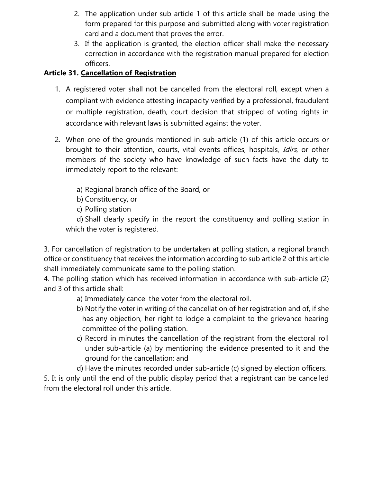- 2. The application under sub article 1 of this article shall be made using the form prepared for this purpose and submitted along with voter registration card and a document that proves the error.
- 3. If the application is granted, the election officer shall make the necessary correction in accordance with the registration manual prepared for election officers.

# **Article 31. Cancellation of Registration**

- 1. A registered voter shall not be cancelled from the electoral roll, except when a compliant with evidence attesting incapacity verified by a professional, fraudulent or multiple registration, death, court decision that stripped of voting rights in accordance with relevant laws is submitted against the voter.
- 2. When one of the grounds mentioned in sub-article (1) of this article occurs or brought to their attention, courts, vital events offices, hospitals, Idirs, or other members of the society who have knowledge of such facts have the duty to immediately report to the relevant:
	- a) Regional branch office of the Board, or
	- b) Constituency, or
	- c) Polling station

d) Shall clearly specify in the report the constituency and polling station in which the voter is registered.

3. For cancellation of registration to be undertaken at polling station, a regional branch office or constituency that receives the information according to sub article 2 of this article shall immediately communicate same to the polling station.

4. The polling station which has received information in accordance with sub-article (2) and 3 of this article shall:

- a) Immediately cancel the voter from the electoral roll.
- b) Notify the voter in writing of the cancellation of her registration and of, if she has any objection, her right to lodge a complaint to the grievance hearing committee of the polling station.
- c) Record in minutes the cancellation of the registrant from the electoral roll under sub-article (a) by mentioning the evidence presented to it and the ground for the cancellation; and
- d) Have the minutes recorded under sub-article (c) signed by election officers.

5. It is only until the end of the public display period that a registrant can be cancelled from the electoral roll under this article.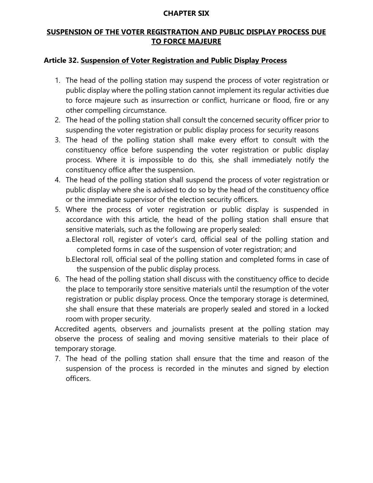#### **CHAPTER SIX**

# **SUSPENSION OF THE VOTER REGISTRATION AND PUBLIC DISPLAY PROCESS DUE TO FORCE MAJEURE**

#### **Article 32. Suspension of Voter Registration and Public Display Process**

- 1. The head of the polling station may suspend the process of voter registration or public display where the polling station cannot implement its regular activities due to force majeure such as insurrection or conflict, hurricane or flood, fire or any other compelling circumstance.
- 2. The head of the polling station shall consult the concerned security officer prior to suspending the voter registration or public display process for security reasons
- 3. The head of the polling station shall make every effort to consult with the constituency office before suspending the voter registration or public display process. Where it is impossible to do this, she shall immediately notify the constituency office after the suspension.
- 4. The head of the polling station shall suspend the process of voter registration or public display where she is advised to do so by the head of the constituency office or the immediate supervisor of the election security officers.
- 5. Where the process of voter registration or public display is suspended in accordance with this article, the head of the polling station shall ensure that sensitive materials, such as the following are properly sealed:
	- a.Electoral roll, register of voter's card, official seal of the polling station and completed forms in case of the suspension of voter registration; and
	- b.Electoral roll, official seal of the polling station and completed forms in case of the suspension of the public display process.
- 6. The head of the polling station shall discuss with the constituency office to decide the place to temporarily store sensitive materials until the resumption of the voter registration or public display process. Once the temporary storage is determined, she shall ensure that these materials are properly sealed and stored in a locked room with proper security.

Accredited agents, observers and journalists present at the polling station may observe the process of sealing and moving sensitive materials to their place of temporary storage.

7. The head of the polling station shall ensure that the time and reason of the suspension of the process is recorded in the minutes and signed by election officers.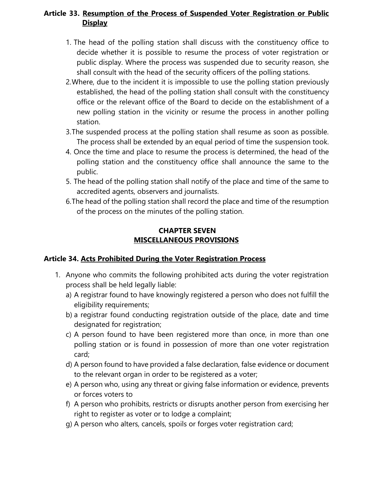## **Article 33. Resumption of the Process of Suspended Voter Registration or Public Display**

- 1. The head of the polling station shall discuss with the constituency office to decide whether it is possible to resume the process of voter registration or public display. Where the process was suspended due to security reason, she shall consult with the head of the security officers of the polling stations.
- 2.Where, due to the incident it is impossible to use the polling station previously established, the head of the polling station shall consult with the constituency office or the relevant office of the Board to decide on the establishment of a new polling station in the vicinity or resume the process in another polling station.
- 3.The suspended process at the polling station shall resume as soon as possible. The process shall be extended by an equal period of time the suspension took.
- 4. Once the time and place to resume the process is determined, the head of the polling station and the constituency office shall announce the same to the public.
- 5. The head of the polling station shall notify of the place and time of the same to accredited agents, observers and journalists.
- 6.The head of the polling station shall record the place and time of the resumption of the process on the minutes of the polling station.

#### **CHAPTER SEVEN MISCELLANEOUS PROVISIONS**

# **Article 34. Acts Prohibited During the Voter Registration Process**

- 1. Anyone who commits the following prohibited acts during the voter registration process shall be held legally liable:
	- a) A registrar found to have knowingly registered a person who does not fulfill the eligibility requirements;
	- b) a registrar found conducting registration outside of the place, date and time designated for registration;
	- c) A person found to have been registered more than once, in more than one polling station or is found in possession of more than one voter registration card;
	- d) A person found to have provided a false declaration, false evidence or document to the relevant organ in order to be registered as a voter;
	- e) A person who, using any threat or giving false information or evidence, prevents or forces voters to
	- f) A person who prohibits, restricts or disrupts another person from exercising her right to register as voter or to lodge a complaint;
	- g) A person who alters, cancels, spoils or forges voter registration card;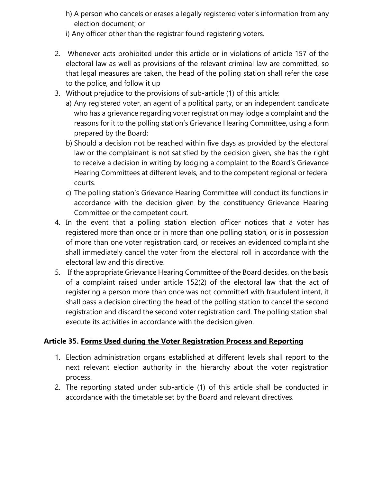- h) A person who cancels or erases a legally registered voter's information from any election document; or
- i) Any officer other than the registrar found registering voters.
- 2. Whenever acts prohibited under this article or in violations of article 157 of the electoral law as well as provisions of the relevant criminal law are committed, so that legal measures are taken, the head of the polling station shall refer the case to the police, and follow it up
- 3. Without prejudice to the provisions of sub-article (1) of this article:
	- a) Any registered voter, an agent of a political party, or an independent candidate who has a grievance regarding voter registration may lodge a complaint and the reasons for it to the polling station's Grievance Hearing Committee, using a form prepared by the Board;
	- b) Should a decision not be reached within five days as provided by the electoral law or the complainant is not satisfied by the decision given, she has the right to receive a decision in writing by lodging a complaint to the Board's Grievance Hearing Committees at different levels, and to the competent regional or federal courts.
	- c) The polling station's Grievance Hearing Committee will conduct its functions in accordance with the decision given by the constituency Grievance Hearing Committee or the competent court.
- 4. In the event that a polling station election officer notices that a voter has registered more than once or in more than one polling station, or is in possession of more than one voter registration card, or receives an evidenced complaint she shall immediately cancel the voter from the electoral roll in accordance with the electoral law and this directive.
- 5. If the appropriate Grievance Hearing Committee of the Board decides, on the basis of a complaint raised under article 152(2) of the electoral law that the act of registering a person more than once was not committed with fraudulent intent, it shall pass a decision directing the head of the polling station to cancel the second registration and discard the second voter registration card. The polling station shall execute its activities in accordance with the decision given.

# **Article 35. Forms Used during the Voter Registration Process and Reporting**

- 1. Election administration organs established at different levels shall report to the next relevant election authority in the hierarchy about the voter registration process.
- 2. The reporting stated under sub-article (1) of this article shall be conducted in accordance with the timetable set by the Board and relevant directives.